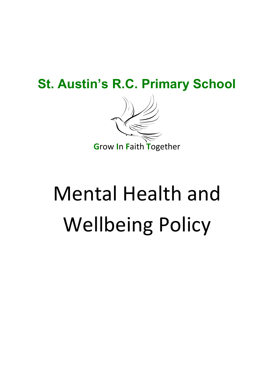# **St. Austin's R.C. Primary School**



# **Mental Health and Wellbeing Policy**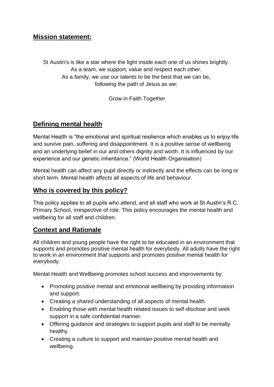#### **Mission statement:**

St Austin's is like a star where the light inside each one of us shines brightly. As a team, we support, value and respect each other. As a family, we use our talents to be the best that we can be, following the path of Jesus as we;

Grow in Faith Together

#### **Defining mental health**

Mental Health is "the emotional and spiritual resilience which enables us to enjoy life and survive pain, suffering and disappointment. It is a positive sense of wellbeing and an underlying belief in our and others dignity and worth. It is influenced by our experience and our genetic inheritance." (World Health Organisation)

Mental health can affect any pupil directly or indirectly and the effects can be long or short term. Mental health affects all aspects of life and behaviour.

#### **Who is covered by this policy?**

This policy applies to all pupils who attend, and all staff who work at St Austin's R.C. Primary School, irrespective of role. This policy encourages the mental health and wellbeing for all staff and children.

#### **Context and Rationale**

All children and young people have the right to be educated in an environment that supports and promotes positive mental health for everybody. All adults have the right to work in an environment that supports and promotes positive mental health for everybody.

Mental Health and Wellbeing promotes school success and improvements by:

- Promoting positive mental and emotional wellbeing by providing information and support.
- Creating a shared understanding of all aspects of mental health.
- Enabling those with mental health related issues to self-disclose and seek support in a safe confidential manner.
- Offering guidance and strategies to support pupils and staff to be mentally healthy.
- Creating a culture to support and maintain positive mental health and wellbeing.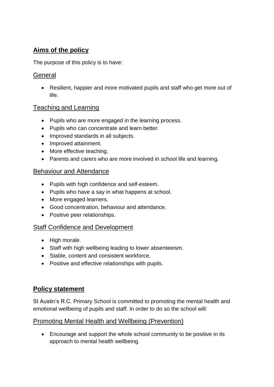# **Aims of the policy**

The purpose of this policy is to have:

#### **General**

 Resilient, happier and more motivated pupils and staff who get more out of life.

#### Teaching and Learning

- Pupils who are more engaged in the learning process.
- Pupils who can concentrate and learn better.
- Improved standards in all subjects.
- Improved attainment.
- More effective teaching.
- Parents and carers who are more involved in school life and learning.

#### Behaviour and Attendance

- Pupils with high confidence and self-esteem.
- Pupils who have a say in what happens at school.
- More engaged learners.
- Good concentration, behaviour and attendance.
- Positive peer relationships.

#### Staff Confidence and Development

- High morale.
- Staff with high wellbeing leading to lower absenteeism.
- Stable, content and consistent workforce.
- Positive and effective relationships with pupils.

#### **Policy statement**

St Austin's R.C. Primary School is committed to promoting the mental health and emotional wellbeing of pupils and staff. In order to do so the school will:

#### Promoting Mental Health and Wellbeing (Prevention)

 Encourage and support the whole school community to be positive in its approach to mental health wellbeing.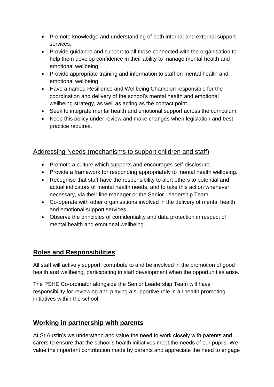- Promote knowledge and understanding of both internal and external support services.
- Provide guidance and support to all those connected with the organisation to help them develop confidence in their ability to manage mental health and emotional wellbeing.
- Provide appropriate training and information to staff on mental health and emotional wellbeing.
- Have a named Resilience and Wellbeing Champion responsible for the coordination and delivery of the school's mental health and emotional wellbeing strategy, as well as acting as the contact point.
- Seek to integrate mental health and emotional support across the curriculum.
- Keep this policy under review and make changes when legislation and best practice requires.

#### Addressing Needs (mechanisms to support children and staff)

- Promote a culture which supports and encourages self-disclosure.
- Provide a framework for responding appropriately to mental health wellbeing.
- Recognise that staff have the responsibility to alert others to potential and actual indicators of mental health needs, and to take this action whenever necessary, via their line manager or the Senior Leadership Team.
- Co-operate with other organisations involved in the delivery of mental health and emotional support services.
- Observe the principles of confidentiality and data protection in respect of mental health and emotional wellbeing.

#### **Roles and Responsibilities**

All staff will actively support, contribute to and be involved in the promotion of good health and wellbeing, participating in staff development when the opportunities arise.

The PSHE Co-ordinator alongside the Senior Leadership Team will have responsibility for reviewing and playing a supportive role in all health promoting initiatives within the school.

# **Working in partnership with parents**

At St Austin's we understand and value the need to work closely with parents and carers to ensure that the school's health initiatives meet the needs of our pupils. We value the important contribution made by parents and appreciate the need to engage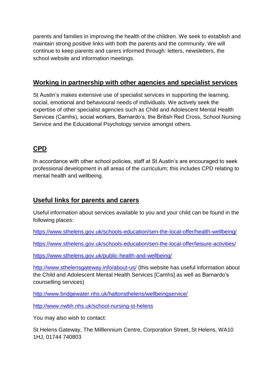parents and families in improving the health of the children. We seek to establish and maintain strong positive links with both the parents and the community. We will continue to keep parents and carers informed through: letters, newsletters, the school website and information meetings.

### **Working in partnership with other agencies and specialist services**

St Austin's makes extensive use of specialist services in supporting the learning, social, emotional and behavioural needs of individuals. We actively seek the expertise of other specialist agencies such as Child and Adolescent Mental Health Services (Camhs), social workers, Barnardo's, the British Red Cross, School Nursing Service and the Educational Psychology service amongst others.

# **CPD**

In accordance with other school policies, staff at St Austin's are encouraged to seek professional development in all areas of the curriculum; this includes CPD relating to mental health and wellbeing.

# **Useful links for parents and carers**

Useful information about services available to you and your child can be found in the following places:

<https://www.sthelens.gov.uk/schools-education/sen-the-local-offer/health-wellbeing/>

<https://www.sthelens.gov.uk/schools-education/sen-the-local-offer/leisure-activities/>

<https://www.sthelens.gov.uk/public-health-and-wellbeing/>

<http://www.sthelensgateway.info/about-us/> (this website has useful information about the Child and Adolescent Mental Health Services [Camhs] as well as Barnardo's counselling services)

<http://www.bridgewater.nhs.uk/haltonsthelens/wellbeingservice/>

<http://www.nwbh.nhs.uk/school-nursing-st-helens>

You may also wish to contact:

St Helens Gateway, The Milllennium Centre, Corporation Street, St Helens, WA10 1HJ, 01744 740803